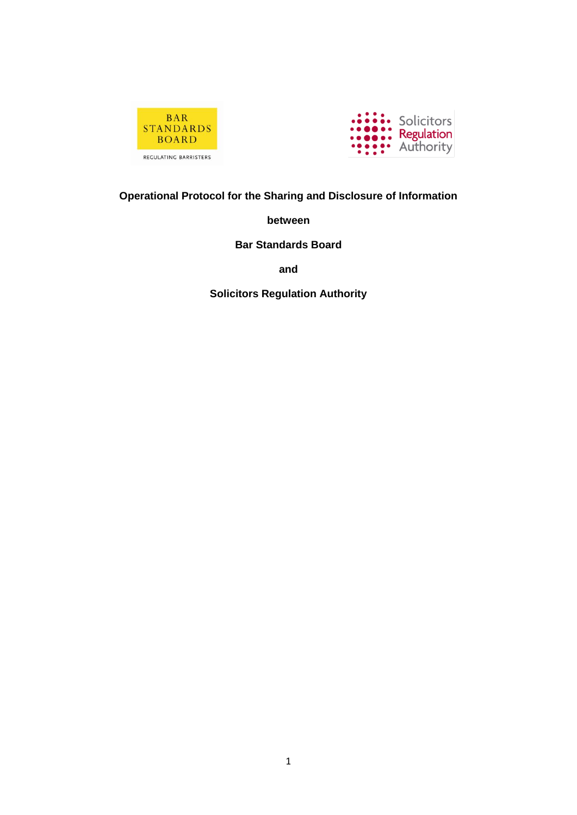



# **Operational Protocol for the Sharing and Disclosure of Information**

**between**

**Bar Standards Board**

**and**

**Solicitors Regulation Authority**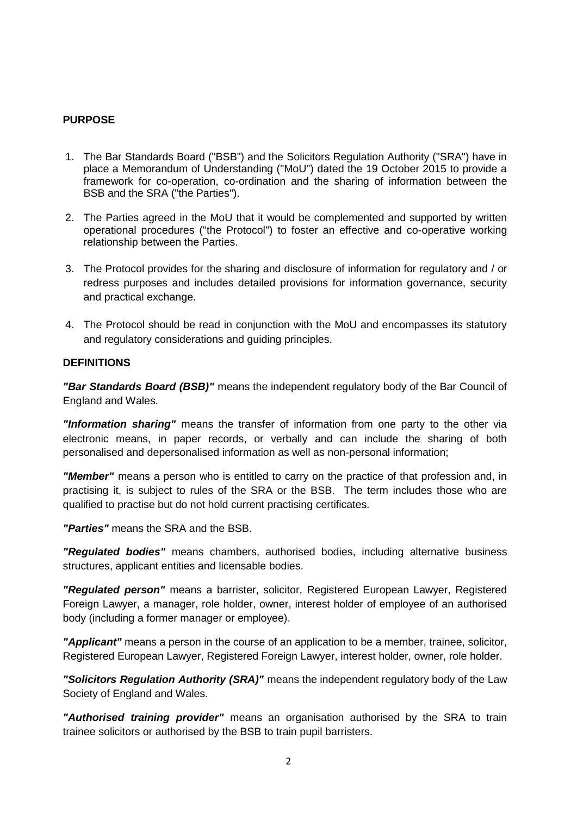#### **PURPOSE**

- 1. The Bar Standards Board ("BSB") and the Solicitors Regulation Authority ("SRA") have in place a Memorandum of Understanding ("MoU") dated the 19 October 2015 to provide a framework for co-operation, co-ordination and the sharing of information between the BSB and the SRA ("the Parties").
- 2. The Parties agreed in the MoU that it would be complemented and supported by written operational procedures ("the Protocol") to foster an effective and co-operative working relationship between the Parties.
- 3. The Protocol provides for the sharing and disclosure of information for regulatory and / or redress purposes and includes detailed provisions for information governance, security and practical exchange.
- 4. The Protocol should be read in conjunction with the MoU and encompasses its statutory and regulatory considerations and guiding principles.

#### **DEFINITIONS**

*"Bar Standards Board (BSB)"* means the independent regulatory body of the Bar Council of England and Wales.

*"Information sharing"* means the transfer of information from one party to the other via electronic means, in paper records, or verbally and can include the sharing of both personalised and depersonalised information as well as non-personal information;

*"Member"* means a person who is entitled to carry on the practice of that profession and, in practising it, is subject to rules of the SRA or the BSB. The term includes those who are qualified to practise but do not hold current practising certificates.

*"Parties"* means the SRA and the BSB.

*"Regulated bodies"* means chambers, authorised bodies, including alternative business structures, applicant entities and licensable bodies.

*"Regulated person"* means a barrister, solicitor, Registered European Lawyer, Registered Foreign Lawyer, a manager, role holder, owner, interest holder of employee of an authorised body (including a former manager or employee).

*"Applicant"* means a person in the course of an application to be a member, trainee, solicitor, Registered European Lawyer, Registered Foreign Lawyer, interest holder, owner, role holder.

*"Solicitors Regulation Authority (SRA)"* means the independent regulatory body of the Law Society of England and Wales.

*"Authorised training provider"* means an organisation authorised by the SRA to train trainee solicitors or authorised by the BSB to train pupil barristers.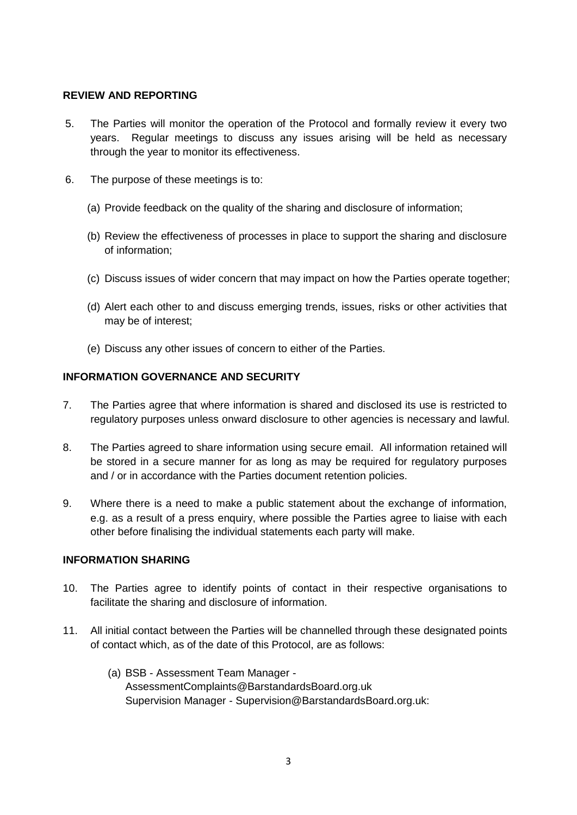#### **REVIEW AND REPORTING**

- 5. The Parties will monitor the operation of the Protocol and formally review it every two years. Regular meetings to discuss any issues arising will be held as necessary through the year to monitor its effectiveness.
- 6. The purpose of these meetings is to:
	- (a) Provide feedback on the quality of the sharing and disclosure of information;
	- (b) Review the effectiveness of processes in place to support the sharing and disclosure of information;
	- (c) Discuss issues of wider concern that may impact on how the Parties operate together;
	- (d) Alert each other to and discuss emerging trends, issues, risks or other activities that may be of interest;
	- (e) Discuss any other issues of concern to either of the Parties.

#### **INFORMATION GOVERNANCE AND SECURITY**

- 7. The Parties agree that where information is shared and disclosed its use is restricted to regulatory purposes unless onward disclosure to other agencies is necessary and lawful.
- 8. The Parties agreed to share information using secure email. All information retained will be stored in a secure manner for as long as may be required for regulatory purposes and / or in accordance with the Parties document retention policies.
- 9. Where there is a need to make a public statement about the exchange of information, e.g. as a result of a press enquiry, where possible the Parties agree to liaise with each other before finalising the individual statements each party will make.

#### **INFORMATION SHARING**

- 10. The Parties agree to identify points of contact in their respective organisations to facilitate the sharing and disclosure of information.
- 11. All initial contact between the Parties will be channelled through these designated points of contact which, as of the date of this Protocol, are as follows:
	- (a) BSB Assessment Team Manager AssessmentComplaints@BarstandardsBoard.org.uk Supervision Manager - Supervision@BarstandardsBoard.org.uk: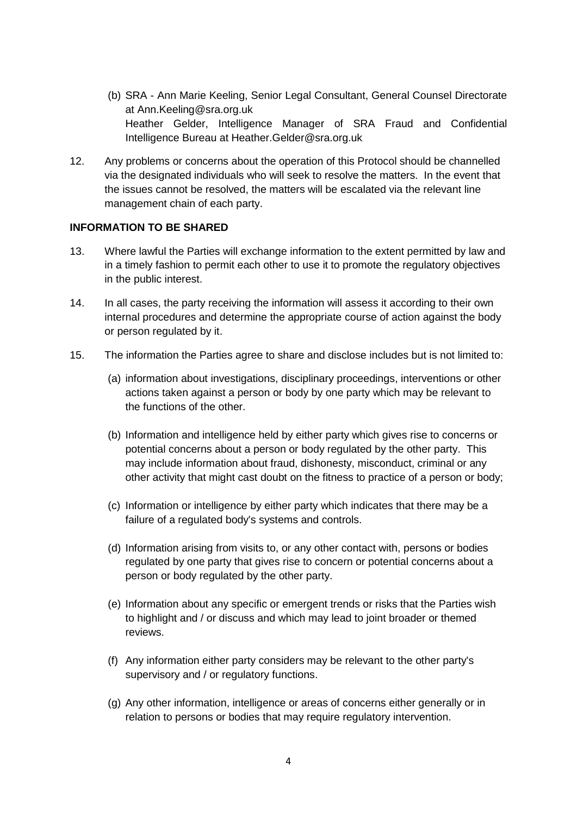- (b) SRA Ann Marie Keeling, Senior Legal Consultant, General Counsel Directorate at Ann.Keeling@sra.org.uk Heather Gelder, Intelligence Manager of SRA Fraud and Confidential Intelligence Bureau at Heather.Gelder@sra.org.uk
- 12. Any problems or concerns about the operation of this Protocol should be channelled via the designated individuals who will seek to resolve the matters. In the event that the issues cannot be resolved, the matters will be escalated via the relevant line management chain of each party.

#### **INFORMATION TO BE SHARED**

- 13. Where lawful the Parties will exchange information to the extent permitted by law and in a timely fashion to permit each other to use it to promote the regulatory objectives in the public interest.
- 14. In all cases, the party receiving the information will assess it according to their own internal procedures and determine the appropriate course of action against the body or person regulated by it.
- 15. The information the Parties agree to share and disclose includes but is not limited to:
	- (a) information about investigations, disciplinary proceedings, interventions or other actions taken against a person or body by one party which may be relevant to the functions of the other.
	- (b) Information and intelligence held by either party which gives rise to concerns or potential concerns about a person or body regulated by the other party. This may include information about fraud, dishonesty, misconduct, criminal or any other activity that might cast doubt on the fitness to practice of a person or body;
	- (c) Information or intelligence by either party which indicates that there may be a failure of a regulated body's systems and controls.
	- (d) Information arising from visits to, or any other contact with, persons or bodies regulated by one party that gives rise to concern or potential concerns about a person or body regulated by the other party.
	- (e) Information about any specific or emergent trends or risks that the Parties wish to highlight and / or discuss and which may lead to joint broader or themed reviews.
	- (f) Any information either party considers may be relevant to the other party's supervisory and / or regulatory functions.
	- (g) Any other information, intelligence or areas of concerns either generally or in relation to persons or bodies that may require regulatory intervention.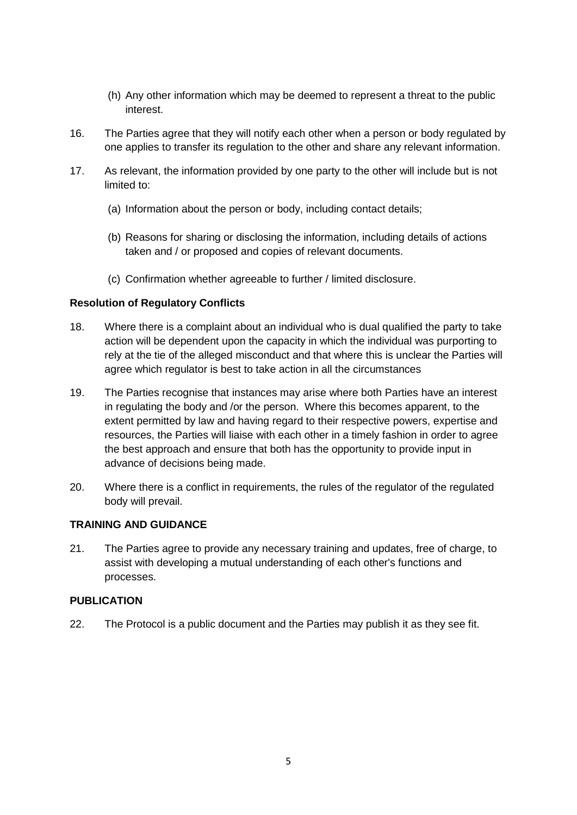- (h) Any other information which may be deemed to represent a threat to the public interest.
- 16. The Parties agree that they will notify each other when a person or body regulated by one applies to transfer its regulation to the other and share any relevant information.
- 17. As relevant, the information provided by one party to the other will include but is not limited to:
	- (a) Information about the person or body, including contact details;
	- (b) Reasons for sharing or disclosing the information, including details of actions taken and / or proposed and copies of relevant documents.
	- (c) Confirmation whether agreeable to further / limited disclosure.

#### **Resolution of Regulatory Conflicts**

- 18. Where there is a complaint about an individual who is dual qualified the party to take action will be dependent upon the capacity in which the individual was purporting to rely at the tie of the alleged misconduct and that where this is unclear the Parties will agree which regulator is best to take action in all the circumstances
- 19. The Parties recognise that instances may arise where both Parties have an interest in regulating the body and /or the person. Where this becomes apparent, to the extent permitted by law and having regard to their respective powers, expertise and resources, the Parties will liaise with each other in a timely fashion in order to agree the best approach and ensure that both has the opportunity to provide input in advance of decisions being made.
- 20. Where there is a conflict in requirements, the rules of the regulator of the regulated body will prevail.

## **TRAINING AND GUIDANCE**

21. The Parties agree to provide any necessary training and updates, free of charge, to assist with developing a mutual understanding of each other's functions and processes.

## **PUBLICATION**

22. The Protocol is a public document and the Parties may publish it as they see fit.